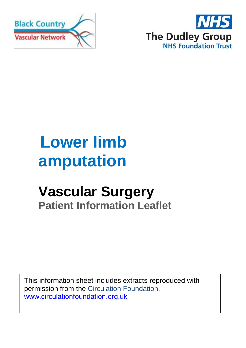



# **Lower limb amputation**

## **Vascular Surgery Patient Information Leaflet**

This information sheet includes extracts reproduced with permission from the Circulation Foundation. [www.circulationfoundation.org.uk](http://www.circulationfoundation.org.uk/)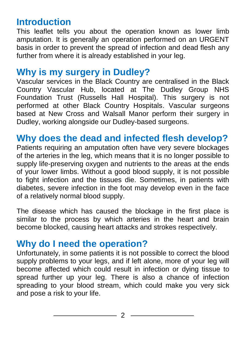### **Introduction**

This leaflet tells you about the operation known as lower limb amputation. It is generally an operation performed on an URGENT basis in order to prevent the spread of infection and dead flesh any further from where it is already established in your leg.

### **Why is my surgery in Dudley?**

Vascular services in the Black Country are centralised in the Black Country Vascular Hub, located at The Dudley Group NHS Foundation Trust (Russells Hall Hospital). This surgery is not performed at other Black Country Hospitals. Vascular surgeons based at New Cross and Walsall Manor perform their surgery in Dudley, working alongside our Dudley-based surgeons.

### **Why does the dead and infected flesh develop?**

Patients requiring an amputation often have very severe blockages of the arteries in the leg, which means that it is no longer possible to supply life-preserving oxygen and nutrients to the areas at the ends of your lower limbs. Without a good blood supply, it is not possible to fight infection and the tissues die. Sometimes, in patients with diabetes, severe infection in the foot may develop even in the face of a relatively normal blood supply.

The disease which has caused the blockage in the first place is similar to the process by which arteries in the heart and brain become blocked, causing heart attacks and strokes respectively.

### **Why do I need the operation?**

Unfortunately, in some patients it is not possible to correct the blood supply problems to your legs, and if left alone, more of your leg will become affected which could result in infection or dying tissue to spread further up your leg. There is also a chance of infection spreading to your blood stream, which could make you very sick and pose a risk to your life.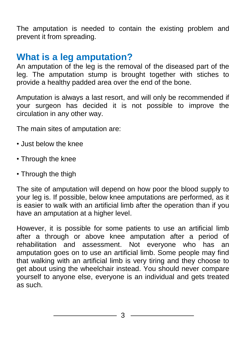The amputation is needed to contain the existing problem and prevent it from spreading.

### **What is a leg amputation?**

An amputation of the leg is the removal of the diseased part of the leg. The amputation stump is brought together with stiches to provide a healthy padded area over the end of the bone.

Amputation is always a last resort, and will only be recommended if your surgeon has decided it is not possible to improve the circulation in any other way.

The main sites of amputation are:

- Just below the knee
- Through the knee
- Through the thigh

The site of amputation will depend on how poor the blood supply to your leg is. If possible, below knee amputations are performed, as it is easier to walk with an artificial limb after the operation than if you have an amputation at a higher level.

However, it is possible for some patients to use an artificial limb after a through or above knee amputation after a period of rehabilitation and assessment. Not everyone who has an amputation goes on to use an artificial limb. Some people may find that walking with an artificial limb is very tiring and they choose to get about using the wheelchair instead. You should never compare yourself to anyone else, everyone is an individual and gets treated as such.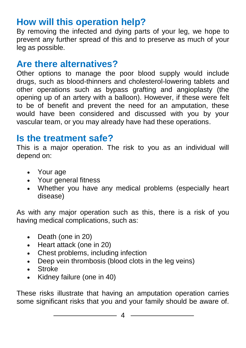### **How will this operation help?**

By removing the infected and dying parts of your leg, we hope to prevent any further spread of this and to preserve as much of your leg as possible.

### **Are there alternatives?**

Other options to manage the poor blood supply would include drugs, such as blood-thinners and cholesterol-lowering tablets and other operations such as bypass grafting and angioplasty (the opening up of an artery with a balloon). However, if these were felt to be of benefit and prevent the need for an amputation, these would have been considered and discussed with you by your vascular team, or you may already have had these operations.

### **Is the treatment safe?**

This is a major operation. The risk to you as an individual will depend on:

- Your age
- Your general fitness
- Whether you have any medical problems (especially heart disease)

As with any major operation such as this, there is a risk of you having medical complications, such as:

- Death (one in 20)
- Heart attack (one in 20)
- Chest problems, including infection
- Deep vein thrombosis (blood clots in the leg veins)
- Stroke
- Kidney failure (one in 40)

These risks illustrate that having an amputation operation carries some significant risks that you and your family should be aware of.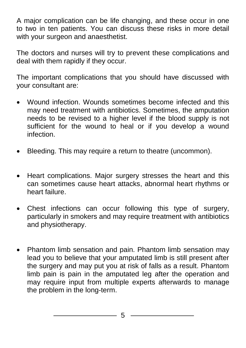A major complication can be life changing, and these occur in one to two in ten patients. You can discuss these risks in more detail with your surgeon and anaesthetist.

The doctors and nurses will try to prevent these complications and deal with them rapidly if they occur.

The important complications that you should have discussed with your consultant are:

- Wound infection. Wounds sometimes become infected and this may need treatment with antibiotics. Sometimes, the amputation needs to be revised to a higher level if the blood supply is not sufficient for the wound to heal or if you develop a wound infection.
- Bleeding. This may require a return to theatre (uncommon).
- Heart complications. Major surgery stresses the heart and this can sometimes cause heart attacks, abnormal heart rhythms or heart failure.
- Chest infections can occur following this type of surgery, particularly in smokers and may require treatment with antibiotics and physiotherapy.
- Phantom limb sensation and pain. Phantom limb sensation may lead you to believe that your amputated limb is still present after the surgery and may put you at risk of falls as a result. Phantom limb pain is pain in the amputated leg after the operation and may require input from multiple experts afterwards to manage the problem in the long-term.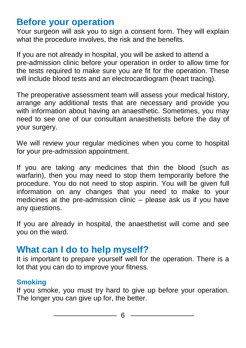### **Before your operation**

Your surgeon will ask you to sign a consent form. They will explain what the procedure involves, the risk and the benefits.

If you are not already in hospital, you will be asked to attend a pre-admission clinic before your operation in order to allow time for the tests required to make sure you are fit for the operation. These will include blood tests and an electrocardiogram (heart tracing).

The preoperative assessment team will assess your medical history, arrange any additional tests that are necessary and provide you with information about having an anaesthetic. Sometimes, you may need to see one of our consultant anaesthetists before the day of your surgery.

We will review your regular medicines when you come to hospital for your pre-admission appointment.

If you are taking any medicines that thin the blood (such as warfarin), then you may need to stop them temporarily before the procedure. You do not need to stop aspirin. You will be given full information on any changes that you need to make to your medicines at the pre-admission clinic – please ask us if you have any questions.

If you are already in hospital, the anaesthetist will come and see you on the ward.

### **What can I do to help myself?**

It is important to prepare yourself well for the operation. There is a lot that you can do to improve your fitness.

#### **Smoking**

If you smoke, you must try hard to give up before your operation. The longer you can give up for, the better.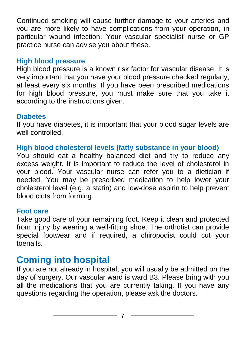Continued smoking will cause further damage to your arteries and you are more likely to have complications from your operation, in particular wound infection. Your vascular specialist nurse or GP practice nurse can advise you about these.

#### **High blood pressure**

High blood pressure is a known risk factor for vascular disease. It is very important that you have your blood pressure checked regularly, at least every six months. If you have been prescribed medications for high blood pressure, you must make sure that you take it according to the instructions given.

#### **Diabetes**

If you have diabetes, it is important that your blood sugar levels are well controlled.

#### **High blood cholesterol levels (fatty substance in your blood)**

You should eat a healthy balanced diet and try to reduce any excess weight. It is important to reduce the level of cholesterol in your blood. Your vascular nurse can refer you to a dietician if needed. You may be prescribed medication to help lower your cholesterol level (e.g. a statin) and low-dose aspirin to help prevent blood clots from forming.

#### **Foot care**

Take good care of your remaining foot. Keep it clean and protected from injury by wearing a well-fitting shoe. The orthotist can provide special footwear and if required, a chiropodist could cut your toenails.

### **Coming into hospital**

If you are not already in hospital, you will usually be admitted on the day of surgery. Our vascular ward is ward B3. Please bring with you all the medications that you are currently taking. If you have any questions regarding the operation, please ask the doctors.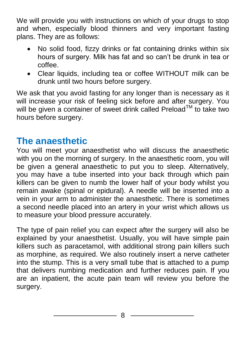We will provide you with instructions on which of your drugs to stop and when, especially blood thinners and very important fasting plans. They are as follows:

- No solid food, fizzy drinks or fat containing drinks within six hours of surgery. Milk has fat and so can't be drunk in tea or coffee.
- Clear liquids, including tea or coffee WITHOUT milk can be drunk until two hours before surgery.

We ask that you avoid fasting for any longer than is necessary as it will increase your risk of feeling sick before and after surgery. You will be given a container of sweet drink called Preload™ to take two hours before surgery.

### **The anaesthetic**

You will meet your anaesthetist who will discuss the anaesthetic with you on the morning of surgery. In the anaesthetic room, you will be given a general anaesthetic to put you to sleep. Alternatively, you may have a tube inserted into your back through which pain killers can be given to numb the lower half of your body whilst you remain awake (spinal or epidural). A needle will be inserted into a vein in your arm to administer the anaesthetic. There is sometimes a second needle placed into an artery in your wrist which allows us to measure your blood pressure accurately.

The type of pain relief you can expect after the surgery will also be explained by your anaesthetist. Usually, you will have simple pain killers such as paracetamol, with additional strong pain killers such as morphine, as required. We also routinely insert a nerve catheter into the stump. This is a very small tube that is attached to a pump that delivers numbing medication and further reduces pain. If you are an inpatient, the acute pain team will review you before the surgery.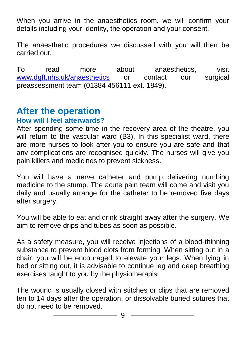When you arrive in the anaesthetics room, we will confirm your details including your identity, the operation and your consent.

The anaesthetic procedures we discussed with you will then be carried out.

To read more about anaesthetics, visit [www.dgft.nhs.uk/anaesthetics](http://www.dgft.nhs.uk/anaesthetics) or contact our surgical preassessment team (01384 456111 ext. 1849).

### **After the operation**

#### **How will I feel afterwards?**

After spending some time in the recovery area of the theatre, you will return to the vascular ward (B3). In this specialist ward, there are more nurses to look after you to ensure you are safe and that any complications are recognised quickly. The nurses will give you pain killers and medicines to prevent sickness.

You will have a nerve catheter and pump delivering numbing medicine to the stump. The acute pain team will come and visit you daily and usually arrange for the catheter to be removed five days after surgery.

You will be able to eat and drink straight away after the surgery. We aim to remove drips and tubes as soon as possible.

As a safety measure, you will receive injections of a blood-thinning substance to prevent blood clots from forming. When sitting out in a chair, you will be encouraged to elevate your legs. When lying in bed or sitting out, it is advisable to continue leg and deep breathing exercises taught to you by the physiotherapist.

The wound is usually closed with stitches or clips that are removed ten to 14 days after the operation, or dissolvable buried sutures that do not need to be removed.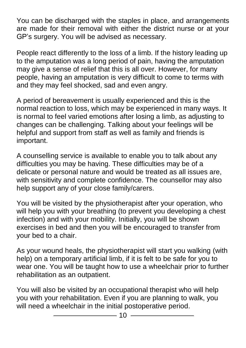You can be discharged with the staples in place, and arrangements are made for their removal with either the district nurse or at your GP's surgery. You will be advised as necessary.

People react differently to the loss of a limb. If the history leading up to the amputation was a long period of pain, having the amputation may give a sense of relief that this is all over. However, for many people, having an amputation is very difficult to come to terms with and they may feel shocked, sad and even angry.

A period of bereavement is usually experienced and this is the normal reaction to loss, which may be experienced in many ways. It is normal to feel varied emotions after losing a limb, as adjusting to changes can be challenging. Talking about your feelings will be helpful and support from staff as well as family and friends is important.

A counselling service is available to enable you to talk about any difficulties you may be having. These difficulties may be of a delicate or personal nature and would be treated as all issues are, with sensitivity and complete confidence. The counsellor may also help support any of your close family/carers.

You will be visited by the physiotherapist after your operation, who will help you with your breathing (to prevent you developing a chest infection) and with your mobility. Initially, you will be shown exercises in bed and then you will be encouraged to transfer from your bed to a chair.

As your wound heals, the physiotherapist will start you walking (with help) on a temporary artificial limb, if it is felt to be safe for you to wear one. You will be taught how to use a wheelchair prior to further rehabilitation as an outpatient.

You will also be visited by an occupational therapist who will help you with your rehabilitation. Even if you are planning to walk, you will need a wheelchair in the initial postoperative period.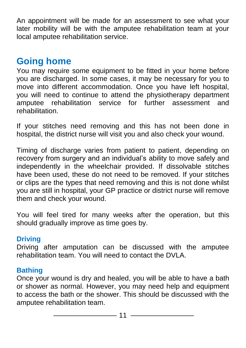An appointment will be made for an assessment to see what your later mobility will be with the amputee rehabilitation team at your local amputee rehabilitation service.

### **Going home**

You may require some equipment to be fitted in your home before you are discharged. In some cases, it may be necessary for you to move into different accommodation. Once you have left hospital, you will need to continue to attend the physiotherapy department amputee rehabilitation service for further assessment and rehabilitation.

If your stitches need removing and this has not been done in hospital, the district nurse will visit you and also check your wound.

Timing of discharge varies from patient to patient, depending on recovery from surgery and an individual's ability to move safely and independently in the wheelchair provided. If dissolvable stitches have been used, these do not need to be removed. If your stitches or clips are the types that need removing and this is not done whilst you are still in hospital, your GP practice or district nurse will remove them and check your wound.

You will feel tired for many weeks after the operation, but this should gradually improve as time goes by.

#### **Driving**

Driving after amputation can be discussed with the amputee rehabilitation team. You will need to contact the DVLA.

#### **Bathing**

Once your wound is dry and healed, you will be able to have a bath or shower as normal. However, you may need help and equipment to access the bath or the shower. This should be discussed with the amputee rehabilitation team.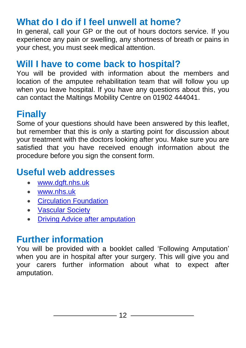### **What do I do if I feel unwell at home?**

In general, call your GP or the out of hours doctors service. If you experience any pain or swelling, any shortness of breath or pains in your chest, you must seek medical attention.

### **Will I have to come back to hospital?**

You will be provided with information about the members and location of the amputee rehabilitation team that will follow you up when you leave hospital. If you have any questions about this, you can contact the Maltings Mobility Centre on 01902 444041.

### **Finally**

Some of your questions should have been answered by this leaflet, but remember that this is only a starting point for discussion about your treatment with the doctors looking after you. Make sure you are satisfied that you have received enough information about the procedure before you sign the consent form.

### **Useful web addresses**

- [www.dgft.nhs.uk](http://www.dgft.nhs.uk/)
- [www.nhs.uk](http://www.nhs.uk/)
- [Circulation Foundation](http://www.circulationfoundation.org.uk/help-advice/peripheral-arterial-disease/leg-amputation)
- [Vascular Society](https://www.vascularsociety.org.uk/patients/procedures)
- [Driving Advice after amputation](https://www.ridc.org.uk/sites/default/files/documents/pdfs/mobility/motoring-after-amputation.pdf)

### **Further information**

You will be provided with a booklet called 'Following Amputation' when you are in hospital after your surgery. This will give you and your carers further information about what to expect after amputation.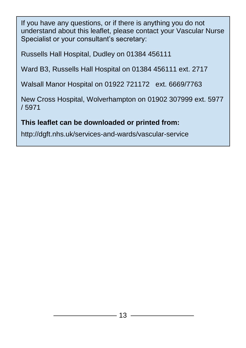If you have any questions, or if there is anything you do not understand about this leaflet, please contact your Vascular Nurse Specialist or your consultant's secretary:

Russells Hall Hospital, Dudley on 01384 456111

Ward B3, Russells Hall Hospital on 01384 456111 ext. 2717

Walsall Manor Hospital on 01922 721172 ext. 6669/7763

New Cross Hospital, Wolverhampton on 01902 307999 ext. 5977 / 5971

#### **This leaflet can be downloaded or printed from:**

http://dgft.nhs.uk/services-and-wards/vascular-service